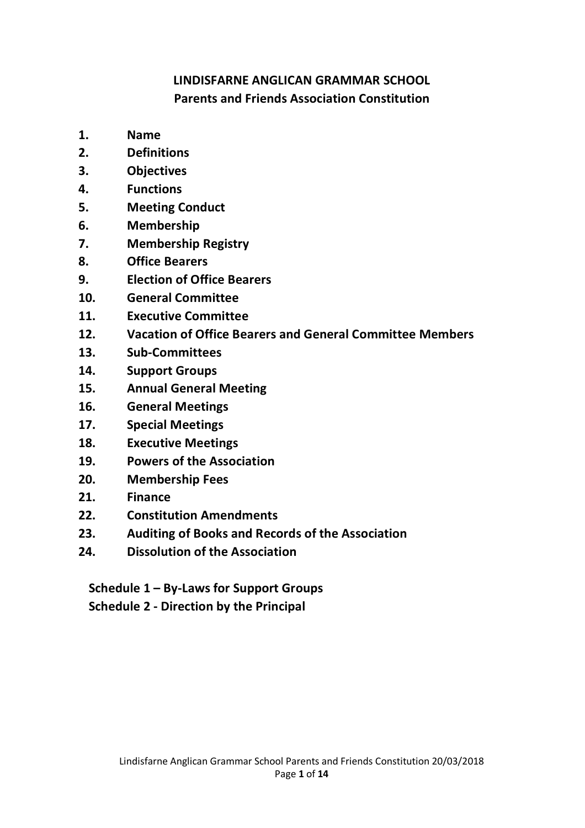# **LINDISFARNE ANGLICAN GRAMMAR SCHOOL Parents and Friends Association Constitution**

- **1. Name**
- **2. Definitions**
- **3. Objectives**
- **4. Functions**
- **5. Meeting Conduct**
- **6. Membership**
- **7. Membership Registry**
- **8. Office Bearers**
- **9. Election of Office Bearers**
- **10. General Committee**
- **11. Executive Committee**
- **12. Vacation of Office Bearers and General Committee Members**
- **13. Sub-Committees**
- **14. Support Groups**
- **15. Annual General Meeting**
- **16. General Meetings**
- **17. Special Meetings**
- **18. Executive Meetings**
- **19. Powers of the Association**
- **20. Membership Fees**
- **21. Finance**
- **22. Constitution Amendments**
- **23. Auditing of Books and Records of the Association**
- **24. Dissolution of the Association**

**Schedule 1 – By-Laws for Support Groups Schedule 2 - Direction by the Principal**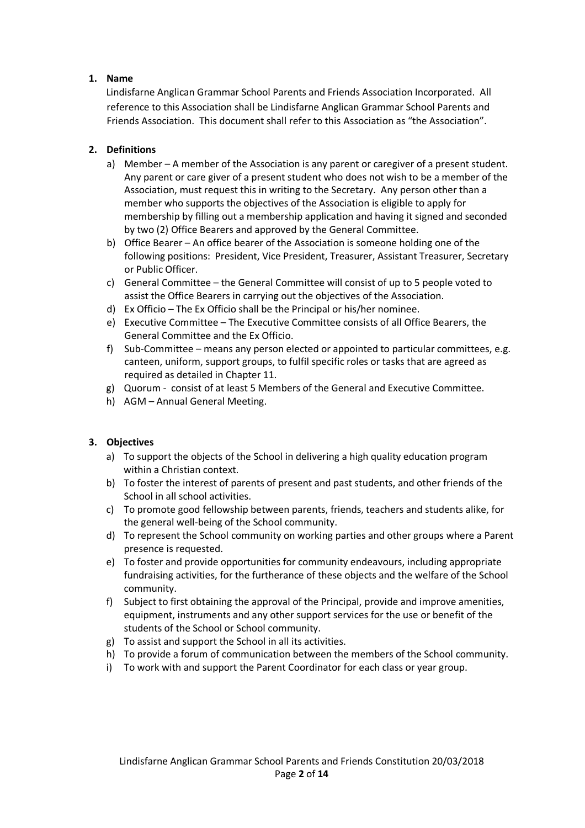### **1. Name**

Lindisfarne Anglican Grammar School Parents and Friends Association Incorporated. All reference to this Association shall be Lindisfarne Anglican Grammar School Parents and Friends Association. This document shall refer to this Association as "the Association".

## **2. Definitions**

- a) Member A member of the Association is any parent or caregiver of a present student. Any parent or care giver of a present student who does not wish to be a member of the Association, must request this in writing to the Secretary. Any person other than a member who supports the objectives of the Association is eligible to apply for membership by filling out a membership application and having it signed and seconded by two (2) Office Bearers and approved by the General Committee.
- b) Office Bearer An office bearer of the Association is someone holding one of the following positions: President, Vice President, Treasurer, Assistant Treasurer, Secretary or Public Officer.
- c) General Committee the General Committee will consist of up to 5 people voted to assist the Office Bearers in carrying out the objectives of the Association.
- d) Ex Officio The Ex Officio shall be the Principal or his/her nominee.
- e) Executive Committee The Executive Committee consists of all Office Bearers, the General Committee and the Ex Officio.
- f) Sub-Committee means any person elected or appointed to particular committees, e.g. canteen, uniform, support groups, to fulfil specific roles or tasks that are agreed as required as detailed in Chapter 11.
- g) Quorum consist of at least 5 Members of the General and Executive Committee.
- h) AGM Annual General Meeting.

### **3. Objectives**

- a) To support the objects of the School in delivering a high quality education program within a Christian context.
- b) To foster the interest of parents of present and past students, and other friends of the School in all school activities.
- c) To promote good fellowship between parents, friends, teachers and students alike, for the general well-being of the School community.
- d) To represent the School community on working parties and other groups where a Parent presence is requested.
- e) To foster and provide opportunities for community endeavours, including appropriate fundraising activities, for the furtherance of these objects and the welfare of the School community.
- f) Subject to first obtaining the approval of the Principal, provide and improve amenities, equipment, instruments and any other support services for the use or benefit of the students of the School or School community.
- g) To assist and support the School in all its activities.
- h) To provide a forum of communication between the members of the School community.
- i) To work with and support the Parent Coordinator for each class or year group.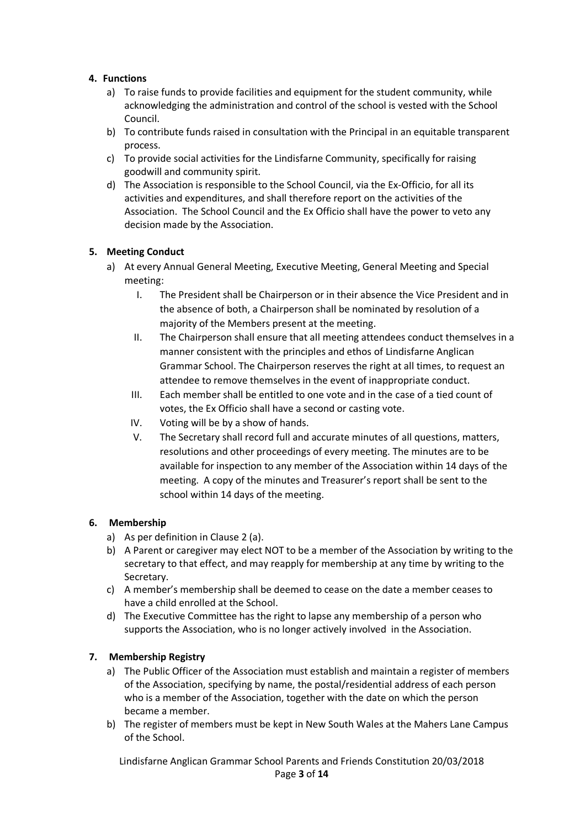### **4. Functions**

- a) To raise funds to provide facilities and equipment for the student community, while acknowledging the administration and control of the school is vested with the School Council.
- b) To contribute funds raised in consultation with the Principal in an equitable transparent process.
- c) To provide social activities for the Lindisfarne Community, specifically for raising goodwill and community spirit.
- d) The Association is responsible to the School Council, via the Ex-Officio, for all its activities and expenditures, and shall therefore report on the activities of the Association. The School Council and the Ex Officio shall have the power to veto any decision made by the Association.

### **5. Meeting Conduct**

- a) At every Annual General Meeting, Executive Meeting, General Meeting and Special meeting:
	- I. The President shall be Chairperson or in their absence the Vice President and in the absence of both, a Chairperson shall be nominated by resolution of a majority of the Members present at the meeting.
	- II. The Chairperson shall ensure that all meeting attendees conduct themselves in a manner consistent with the principles and ethos of Lindisfarne Anglican Grammar School. The Chairperson reserves the right at all times, to request an attendee to remove themselves in the event of inappropriate conduct.
	- III. Each member shall be entitled to one vote and in the case of a tied count of votes, the Ex Officio shall have a second or casting vote.
	- IV. Voting will be by a show of hands.
	- V. The Secretary shall record full and accurate minutes of all questions, matters, resolutions and other proceedings of every meeting. The minutes are to be available for inspection to any member of the Association within 14 days of the meeting. A copy of the minutes and Treasurer's report shall be sent to the school within 14 days of the meeting.

### **6. Membership**

- a) As per definition in Clause 2 (a).
- b) A Parent or caregiver may elect NOT to be a member of the Association by writing to the secretary to that effect, and may reapply for membership at any time by writing to the Secretary.
- c) A member's membership shall be deemed to cease on the date a member ceases to have a child enrolled at the School.
- d) The Executive Committee has the right to lapse any membership of a person who supports the Association, who is no longer actively involved in the Association.

### **7. Membership Registry**

- a) The Public Officer of the Association must establish and maintain a register of members of the Association, specifying by name, the postal/residential address of each person who is a member of the Association, together with the date on which the person became a member.
- b) The register of members must be kept in New South Wales at the Mahers Lane Campus of the School.

Lindisfarne Anglican Grammar School Parents and Friends Constitution 20/03/2018 Page **3** of **14**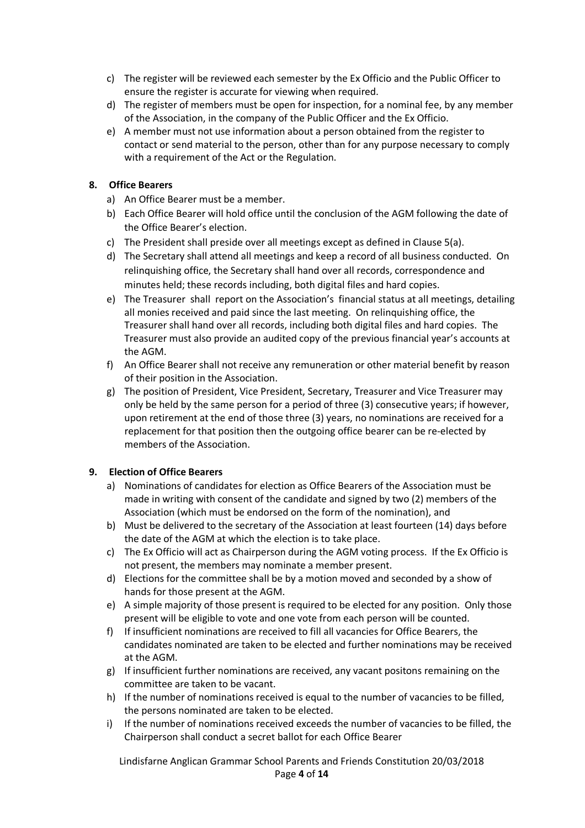- c) The register will be reviewed each semester by the Ex Officio and the Public Officer to ensure the register is accurate for viewing when required.
- d) The register of members must be open for inspection, for a nominal fee, by any member of the Association, in the company of the Public Officer and the Ex Officio.
- e) A member must not use information about a person obtained from the register to contact or send material to the person, other than for any purpose necessary to comply with a requirement of the Act or the Regulation.

### **8. Office Bearers**

- a) An Office Bearer must be a member.
- b) Each Office Bearer will hold office until the conclusion of the AGM following the date of the Office Bearer's election.
- c) The President shall preside over all meetings except as defined in Clause 5(a).
- d) The Secretary shall attend all meetings and keep a record of all business conducted. On relinquishing office, the Secretary shall hand over all records, correspondence and minutes held; these records including, both digital files and hard copies.
- e) The Treasurer shall report on the Association's financial status at all meetings, detailing all monies received and paid since the last meeting. On relinquishing office, the Treasurer shall hand over all records, including both digital files and hard copies. The Treasurer must also provide an audited copy of the previous financial year's accounts at the AGM.
- f) An Office Bearer shall not receive any remuneration or other material benefit by reason of their position in the Association.
- g) The position of President, Vice President, Secretary, Treasurer and Vice Treasurer may only be held by the same person for a period of three (3) consecutive years; if however, upon retirement at the end of those three (3) years, no nominations are received for a replacement for that position then the outgoing office bearer can be re-elected by members of the Association.

# **9. Election of Office Bearers**

- a) Nominations of candidates for election as Office Bearers of the Association must be made in writing with consent of the candidate and signed by two (2) members of the Association (which must be endorsed on the form of the nomination), and
- b) Must be delivered to the secretary of the Association at least fourteen (14) days before the date of the AGM at which the election is to take place.
- c) The Ex Officio will act as Chairperson during the AGM voting process. If the Ex Officio is not present, the members may nominate a member present.
- d) Elections for the committee shall be by a motion moved and seconded by a show of hands for those present at the AGM.
- e) A simple majority of those present is required to be elected for any position. Only those present will be eligible to vote and one vote from each person will be counted.
- f) If insufficient nominations are received to fill all vacancies for Office Bearers, the candidates nominated are taken to be elected and further nominations may be received at the AGM.
- g) If insufficient further nominations are received, any vacant positons remaining on the committee are taken to be vacant.
- h) If the number of nominations received is equal to the number of vacancies to be filled, the persons nominated are taken to be elected.
- i) If the number of nominations received exceeds the number of vacancies to be filled, the Chairperson shall conduct a secret ballot for each Office Bearer

Lindisfarne Anglican Grammar School Parents and Friends Constitution 20/03/2018 Page **4** of **14**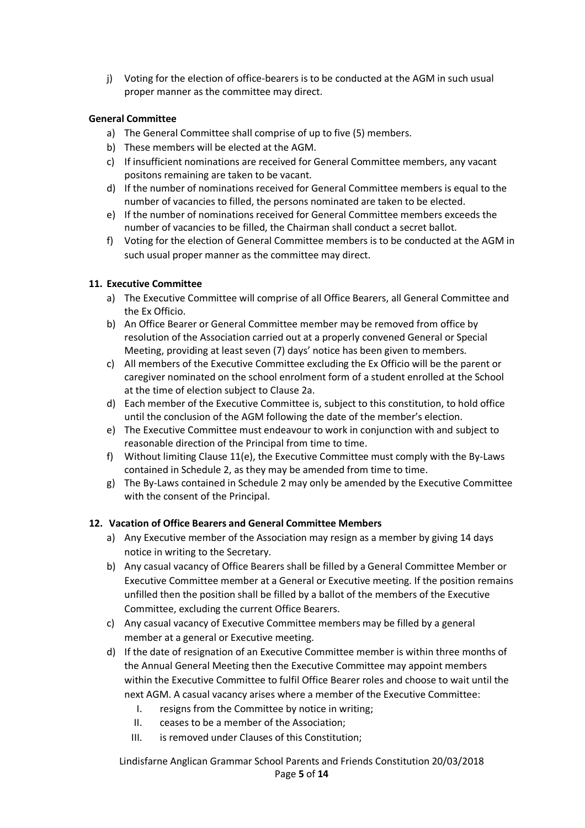j) Voting for the election of office-bearers is to be conducted at the AGM in such usual proper manner as the committee may direct.

### **General Committee**

- a) The General Committee shall comprise of up to five (5) members.
- b) These members will be elected at the AGM.
- c) If insufficient nominations are received for General Committee members, any vacant positons remaining are taken to be vacant.
- d) If the number of nominations received for General Committee members is equal to the number of vacancies to filled, the persons nominated are taken to be elected.
- e) If the number of nominations received for General Committee members exceeds the number of vacancies to be filled, the Chairman shall conduct a secret ballot.
- f) Voting for the election of General Committee members is to be conducted at the AGM in such usual proper manner as the committee may direct.

### **11. Executive Committee**

- a) The Executive Committee will comprise of all Office Bearers, all General Committee and the Ex Officio.
- b) An Office Bearer or General Committee member may be removed from office by resolution of the Association carried out at a properly convened General or Special Meeting, providing at least seven (7) days' notice has been given to members.
- c) All members of the Executive Committee excluding the Ex Officio will be the parent or caregiver nominated on the school enrolment form of a student enrolled at the School at the time of election subject to Clause 2a.
- d) Each member of the Executive Committee is, subject to this constitution, to hold office until the conclusion of the AGM following the date of the member's election.
- e) The Executive Committee must endeavour to work in conjunction with and subject to reasonable direction of the Principal from time to time.
- f) Without limiting Clause 11(e), the Executive Committee must comply with the By-Laws contained in Schedule 2, as they may be amended from time to time.
- g) The By-Laws contained in Schedule 2 may only be amended by the Executive Committee with the consent of the Principal.

### **12. Vacation of Office Bearers and General Committee Members**

- a) Any Executive member of the Association may resign as a member by giving 14 days notice in writing to the Secretary.
- b) Any casual vacancy of Office Bearers shall be filled by a General Committee Member or Executive Committee member at a General or Executive meeting. If the position remains unfilled then the position shall be filled by a ballot of the members of the Executive Committee, excluding the current Office Bearers.
- c) Any casual vacancy of Executive Committee members may be filled by a general member at a general or Executive meeting.
- d) If the date of resignation of an Executive Committee member is within three months of the Annual General Meeting then the Executive Committee may appoint members within the Executive Committee to fulfil Office Bearer roles and choose to wait until the next AGM. A casual vacancy arises where a member of the Executive Committee:
	- I. resigns from the Committee by notice in writing;
	- II. ceases to be a member of the Association;
	- III. is removed under Clauses of this Constitution;

Lindisfarne Anglican Grammar School Parents and Friends Constitution 20/03/2018 Page **5** of **14**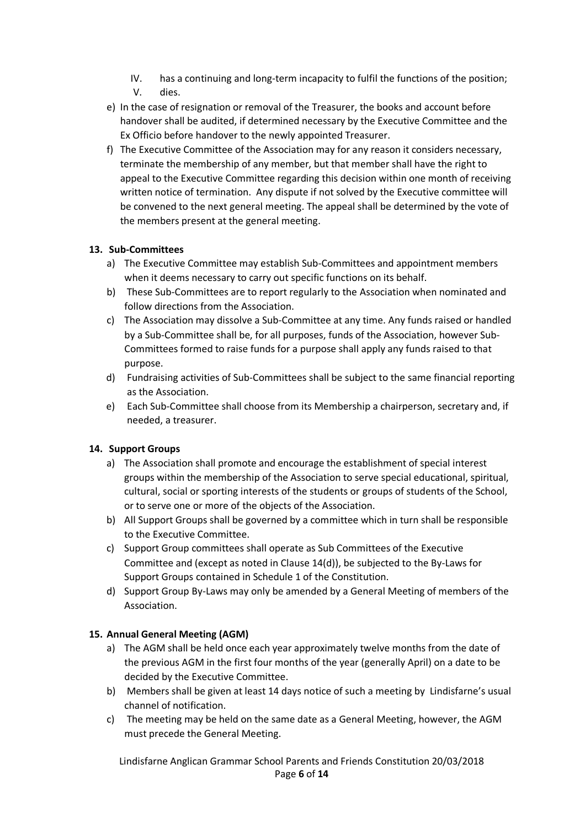- IV. has a continuing and long-term incapacity to fulfil the functions of the position; V. dies.
- e) In the case of resignation or removal of the Treasurer, the books and account before handover shall be audited, if determined necessary by the Executive Committee and the Ex Officio before handover to the newly appointed Treasurer.
- f) The Executive Committee of the Association may for any reason it considers necessary, terminate the membership of any member, but that member shall have the right to appeal to the Executive Committee regarding this decision within one month of receiving written notice of termination. Any dispute if not solved by the Executive committee will be convened to the next general meeting. The appeal shall be determined by the vote of the members present at the general meeting.

### **13. Sub-Committees**

- a) The Executive Committee may establish Sub-Committees and appointment members when it deems necessary to carry out specific functions on its behalf.
- b) These Sub-Committees are to report regularly to the Association when nominated and follow directions from the Association.
- c) The Association may dissolve a Sub-Committee at any time. Any funds raised or handled by a Sub-Committee shall be, for all purposes, funds of the Association, however Sub-Committees formed to raise funds for a purpose shall apply any funds raised to that purpose.
- d) Fundraising activities of Sub-Committees shall be subject to the same financial reporting as the Association.
- e) Each Sub-Committee shall choose from its Membership a chairperson, secretary and, if needed, a treasurer.

# **14. Support Groups**

- a) The Association shall promote and encourage the establishment of special interest groups within the membership of the Association to serve special educational, spiritual, cultural, social or sporting interests of the students or groups of students of the School, or to serve one or more of the objects of the Association.
- b) All Support Groups shall be governed by a committee which in turn shall be responsible to the Executive Committee.
- c) Support Group committees shall operate as Sub Committees of the Executive Committee and (except as noted in Clause 14(d)), be subjected to the By-Laws for Support Groups contained in Schedule 1 of the Constitution.
- d) Support Group By-Laws may only be amended by a General Meeting of members of the Association.

# **15. Annual General Meeting (AGM)**

- a) The AGM shall be held once each year approximately twelve months from the date of the previous AGM in the first four months of the year (generally April) on a date to be decided by the Executive Committee.
- b) Members shall be given at least 14 days notice of such a meeting by Lindisfarne's usual channel of notification.
- c) The meeting may be held on the same date as a General Meeting, however, the AGM must precede the General Meeting.

Lindisfarne Anglican Grammar School Parents and Friends Constitution 20/03/2018 Page **6** of **14**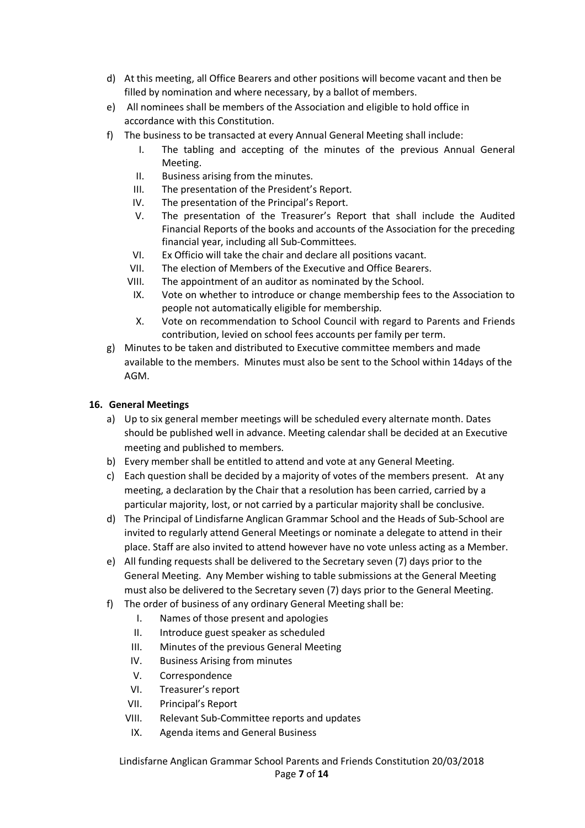- d) At this meeting, all Office Bearers and other positions will become vacant and then be filled by nomination and where necessary, by a ballot of members.
- e) All nominees shall be members of the Association and eligible to hold office in accordance with this Constitution.
- f) The business to be transacted at every Annual General Meeting shall include:
	- I. The tabling and accepting of the minutes of the previous Annual General Meeting.
	- II. Business arising from the minutes.
	- III. The presentation of the President's Report.
	- IV. The presentation of the Principal's Report.
	- V. The presentation of the Treasurer's Report that shall include the Audited Financial Reports of the books and accounts of the Association for the preceding financial year, including all Sub-Committees.
	- VI. Ex Officio will take the chair and declare all positions vacant.
	- VII. The election of Members of the Executive and Office Bearers.
	- VIII. The appointment of an auditor as nominated by the School.
	- IX. Vote on whether to introduce or change membership fees to the Association to people not automatically eligible for membership.
	- X. Vote on recommendation to School Council with regard to Parents and Friends contribution, levied on school fees accounts per family per term.
- g) Minutes to be taken and distributed to Executive committee members and made available to the members. Minutes must also be sent to the School within 14days of the AGM.

### **16. General Meetings**

- a) Up to six general member meetings will be scheduled every alternate month. Dates should be published well in advance. Meeting calendarshall be decided at an Executive meeting and published to members.
- b) Every member shall be entitled to attend and vote at any General Meeting.
- c) Each question shall be decided by a majority of votes of the members present. At any meeting, a declaration by the Chair that a resolution has been carried, carried by a particular majority, lost, or not carried by a particular majority shall be conclusive.
- d) The Principal of Lindisfarne Anglican Grammar School and the Heads of Sub-School are invited to regularly attend General Meetings or nominate a delegate to attend in their place. Staff are also invited to attend however have no vote unless acting as a Member.
- e) All funding requests shall be delivered to the Secretary seven (7) days prior to the General Meeting. Any Member wishing to table submissions at the General Meeting must also be delivered to the Secretary seven (7) days prior to the General Meeting.
- f) The order of business of any ordinary General Meeting shall be:
	- I. Names of those present and apologies
	- II. Introduce guest speaker as scheduled
	- III. Minutes of the previous General Meeting
	- IV. Business Arising from minutes
	- V. Correspondence
	- VI. Treasurer's report
	- VII. Principal's Report
	- VIII. Relevant Sub-Committee reports and updates
		- IX. Agenda items and General Business

Lindisfarne Anglican Grammar School Parents and Friends Constitution 20/03/2018 Page **7** of **14**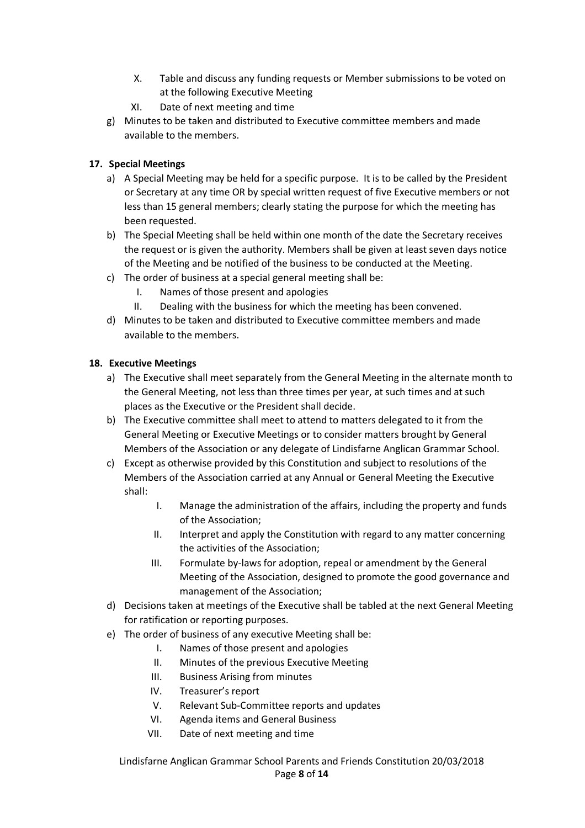- X. Table and discuss any funding requests or Member submissions to be voted on at the following Executive Meeting
- XI. Date of next meeting and time
- g) Minutes to be taken and distributed to Executive committee members and made available to the members.

# **17. Special Meetings**

- a) A Special Meeting may be held for a specific purpose. It is to be called by the President or Secretary at any time OR by special written request of five Executive members or not less than 15 general members; clearly stating the purpose for which the meeting has been requested.
- b) The Special Meeting shall be held within one month of the date the Secretary receives the request or is given the authority. Members shall be given at least seven days notice of the Meeting and be notified of the business to be conducted at the Meeting.
- c) The order of business at a special general meeting shall be:
	- I. Names of those present and apologies
	- II. Dealing with the business for which the meeting has been convened.
- d) Minutes to be taken and distributed to Executive committee members and made available to the members.

# **18. Executive Meetings**

- a) The Executive shall meet separately from the General Meeting in the alternate month to the General Meeting, not less than three times per year, at such times and at such places as the Executive or the President shall decide.
- b) The Executive committee shall meet to attend to matters delegated to it from the General Meeting or Executive Meetings or to consider matters brought by General Members of the Association or any delegate of Lindisfarne Anglican Grammar School.
- c) Except as otherwise provided by this Constitution and subject to resolutions of the Members of the Association carried at any Annual or General Meeting the Executive shall:
	- I. Manage the administration of the affairs, including the property and funds of the Association;
	- II. Interpret and apply the Constitution with regard to any matter concerning the activities of the Association;
	- III. Formulate by-laws for adoption, repeal or amendment by the General Meeting of the Association, designed to promote the good governance and management of the Association;
- d) Decisions taken at meetings of the Executive shall be tabled at the next General Meeting for ratification or reporting purposes.
- e) The order of business of any executive Meeting shall be:
	- I. Names of those present and apologies
	- II. Minutes of the previous Executive Meeting
	- III. Business Arising from minutes
	- IV. Treasurer's report
	- V. Relevant Sub-Committee reports and updates
	- VI. Agenda items and General Business
	- VII. Date of next meeting and time

Lindisfarne Anglican Grammar School Parents and Friends Constitution 20/03/2018 Page **8** of **14**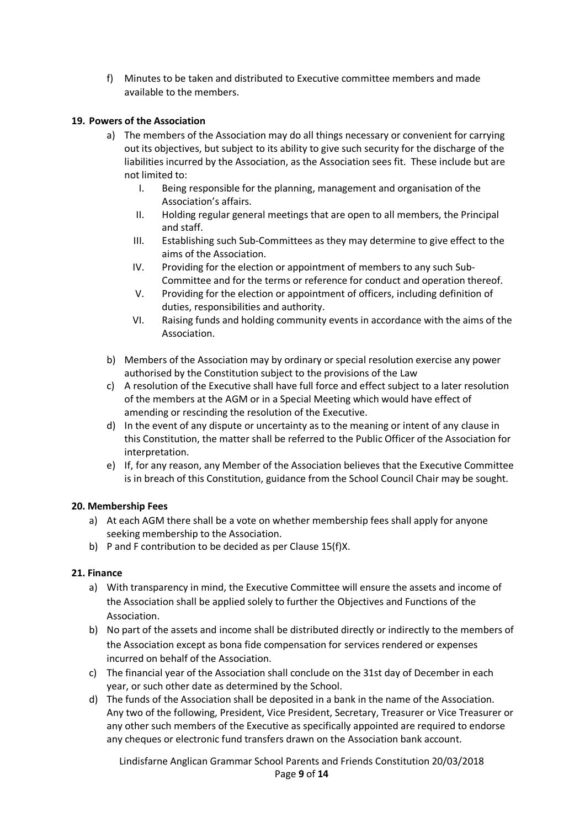f) Minutes to be taken and distributed to Executive committee members and made available to the members.

### **19. Powers of the Association**

- a) The members of the Association may do all things necessary or convenient for carrying out its objectives, but subject to its ability to give such security for the discharge of the liabilities incurred by the Association, as the Association sees fit. These include but are not limited to:
	- I. Being responsible for the planning, management and organisation of the Association's affairs.
	- II. Holding regular general meetings that are open to all members, the Principal and staff.
	- III. Establishing such Sub-Committees as they may determine to give effect to the aims of the Association.
	- IV. Providing for the election or appointment of members to any such Sub-Committee and for the terms or reference for conduct and operation thereof.
	- V. Providing for the election or appointment of officers, including definition of duties, responsibilities and authority.
	- VI. Raising funds and holding community events in accordance with the aims of the Association.
- b) Members of the Association may by ordinary or special resolution exercise any power authorised by the Constitution subject to the provisions of the Law
- c) A resolution of the Executive shall have full force and effect subject to a later resolution of the members at the AGM or in a Special Meeting which would have effect of amending or rescinding the resolution of the Executive.
- d) In the event of any dispute or uncertainty as to the meaning or intent of any clause in this Constitution, the matter shall be referred to the Public Officer of the Association for interpretation.
- e) If, for any reason, any Member of the Association believes that the Executive Committee is in breach of this Constitution, guidance from the School Council Chair may be sought.

### **20. Membership Fees**

- a) At each AGM there shall be a vote on whether membership fees shall apply for anyone seeking membership to the Association.
- b) P and F contribution to be decided as per Clause 15(f)X.

### **21. Finance**

- a) With transparency in mind, the Executive Committee will ensure the assets and income of the Association shall be applied solely to further the Objectives and Functions of the Association.
- b) No part of the assets and income shall be distributed directly or indirectly to the members of the Association except as bona fide compensation for services rendered or expenses incurred on behalf of the Association.
- c) The financial year of the Association shall conclude on the 31st day of December in each year, or such other date as determined by the School.
- d) The funds of the Association shall be deposited in a bank in the name of the Association. Any two of the following, President, Vice President, Secretary, Treasurer or Vice Treasurer or any other such members of the Executive as specifically appointed are required to endorse any cheques or electronic fund transfers drawn on the Association bank account.

Lindisfarne Anglican Grammar School Parents and Friends Constitution 20/03/2018 Page **9** of **14**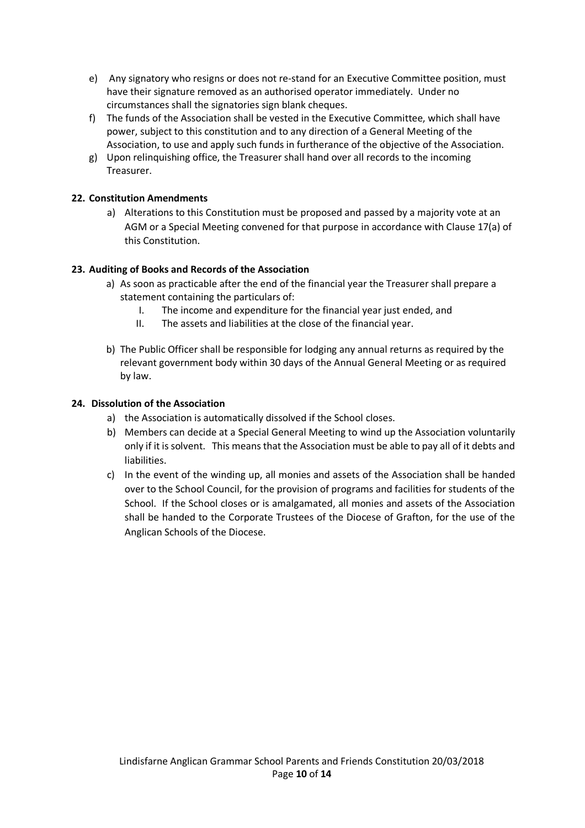- e) Any signatory who resigns or does not re-stand for an Executive Committee position, must have their signature removed as an authorised operator immediately. Under no circumstances shall the signatories sign blank cheques.
- f) The funds of the Association shall be vested in the Executive Committee, which shall have power, subject to this constitution and to any direction of a General Meeting of the Association, to use and apply such funds in furtherance of the objective of the Association.
- g) Upon relinquishing office, the Treasurer shall hand over all records to the incoming Treasurer.

### **22. Constitution Amendments**

a) Alterations to this Constitution must be proposed and passed by a majority vote at an AGM or a Special Meeting convened for that purpose in accordance with Clause 17(a) of this Constitution.

### **23. Auditing of Books and Records of the Association**

- a) As soon as practicable after the end of the financial year the Treasurer shall prepare a statement containing the particulars of:
	- I. The income and expenditure for the financial year just ended, and
	- II. The assets and liabilities at the close of the financial year.
- b) The Public Officer shall be responsible for lodging any annual returns as required by the relevant government body within 30 days of the Annual General Meeting or as required by law.

#### **24. Dissolution of the Association**

- a) the Association is automatically dissolved if the School closes.
- b) Members can decide at a Special General Meeting to wind up the Association voluntarily only if it is solvent. This means that the Association must be able to pay all of it debts and liabilities.
- c) In the event of the winding up, all monies and assets of the Association shall be handed over to the School Council, for the provision of programs and facilities for students of the School. If the School closes or is amalgamated, all monies and assets of the Association shall be handed to the Corporate Trustees of the Diocese of Grafton, for the use of the Anglican Schools of the Diocese.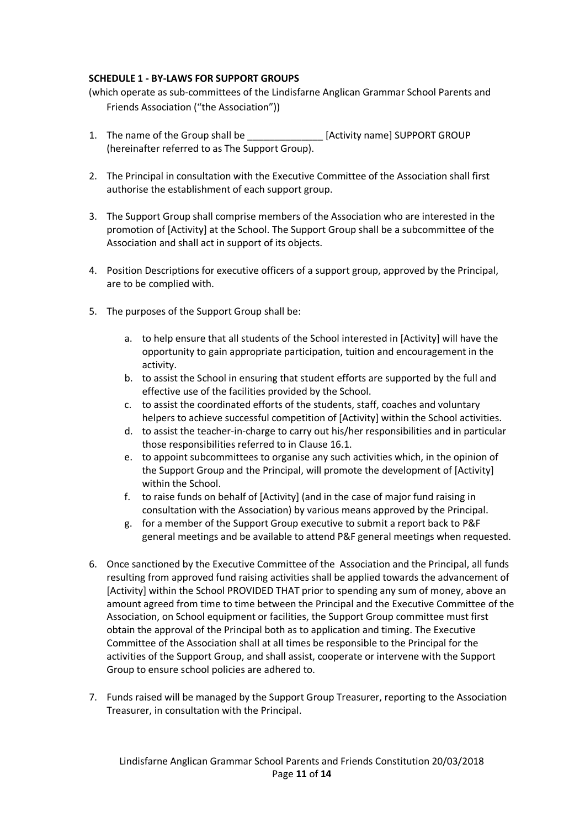### **SCHEDULE 1 - BY-LAWS FOR SUPPORT GROUPS**

(which operate as sub-committees of the Lindisfarne Anglican Grammar School Parents and Friends Association ("the Association"))

- 1. The name of the Group shall be **Example 20** [Activity name] SUPPORT GROUP (hereinafter referred to as The Support Group).
- 2. The Principal in consultation with the Executive Committee of the Association shall first authorise the establishment of each support group.
- 3. The Support Group shall comprise members of the Association who are interested in the promotion of [Activity] at the School. The Support Group shall be a subcommittee of the Association and shall act in support of its objects.
- 4. Position Descriptions for executive officers of a support group, approved by the Principal, are to be complied with.
- 5. The purposes of the Support Group shall be:
	- a. to help ensure that all students of the School interested in [Activity] will have the opportunity to gain appropriate participation, tuition and encouragement in the activity.
	- b. to assist the School in ensuring that student efforts are supported by the full and effective use of the facilities provided by the School.
	- c. to assist the coordinated efforts of the students, staff, coaches and voluntary helpers to achieve successful competition of [Activity] within the School activities.
	- d. to assist the teacher-in-charge to carry out his/her responsibilities and in particular those responsibilities referred to in Clause 16.1.
	- e. to appoint subcommittees to organise any such activities which, in the opinion of the Support Group and the Principal, will promote the development of [Activity] within the School.
	- f. to raise funds on behalf of [Activity] (and in the case of major fund raising in consultation with the Association) by various means approved by the Principal.
	- g. for a member of the Support Group executive to submit a report back to P&F general meetings and be available to attend P&F general meetings when requested.
- 6. Once sanctioned by the Executive Committee of the Association and the Principal, all funds resulting from approved fund raising activities shall be applied towards the advancement of [Activity] within the School PROVIDED THAT prior to spending any sum of money, above an amount agreed from time to time between the Principal and the Executive Committee of the Association, on School equipment or facilities, the Support Group committee must first obtain the approval of the Principal both as to application and timing. The Executive Committee of the Association shall at all times be responsible to the Principal for the activities of the Support Group, and shall assist, cooperate or intervene with the Support Group to ensure school policies are adhered to.
- 7. Funds raised will be managed by the Support Group Treasurer, reporting to the Association Treasurer, in consultation with the Principal.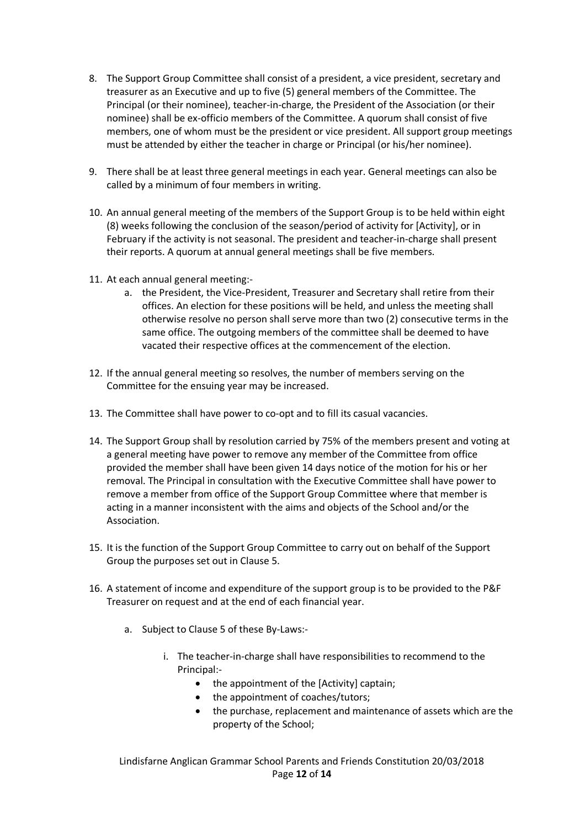- 8. The Support Group Committee shall consist of a president, a vice president, secretary and treasurer as an Executive and up to five (5) general members of the Committee. The Principal (or their nominee), teacher-in-charge, the President of the Association (or their nominee) shall be ex-officio members of the Committee. A quorum shall consist of five members, one of whom must be the president or vice president. All support group meetings must be attended by either the teacher in charge or Principal (or his/her nominee).
- 9. There shall be at least three general meetings in each year. General meetings can also be called by a minimum of four members in writing.
- 10. An annual general meeting of the members of the Support Group is to be held within eight (8) weeks following the conclusion of the season/period of activity for [Activity], or in February if the activity is not seasonal. The president and teacher-in-charge shall present their reports. A quorum at annual general meetings shall be five members.
- 11. At each annual general meeting:
	- a. the President, the Vice-President, Treasurer and Secretary shall retire from their offices. An election for these positions will be held, and unless the meeting shall otherwise resolve no person shall serve more than two (2) consecutive terms in the same office. The outgoing members of the committee shall be deemed to have vacated their respective offices at the commencement of the election.
- 12. If the annual general meeting so resolves, the number of members serving on the Committee for the ensuing year may be increased.
- 13. The Committee shall have power to co-opt and to fill its casual vacancies.
- 14. The Support Group shall by resolution carried by 75% of the members present and voting at a general meeting have power to remove any member of the Committee from office provided the member shall have been given 14 days notice of the motion for his or her removal. The Principal in consultation with the Executive Committee shall have power to remove a member from office of the Support Group Committee where that member is acting in a manner inconsistent with the aims and objects of the School and/or the Association.
- 15. It is the function of the Support Group Committee to carry out on behalf of the Support Group the purposes set out in Clause 5.
- 16. A statement of income and expenditure of the support group is to be provided to the P&F Treasurer on request and at the end of each financial year.
	- a. Subject to Clause 5 of these By-Laws:
		- i. The teacher-in-charge shall have responsibilities to recommend to the Principal:-
			- the appointment of the [Activity] captain;
			- the appointment of coaches/tutors;
			- the purchase, replacement and maintenance of assets which are the property of the School;

Lindisfarne Anglican Grammar School Parents and Friends Constitution 20/03/2018 Page **12** of **14**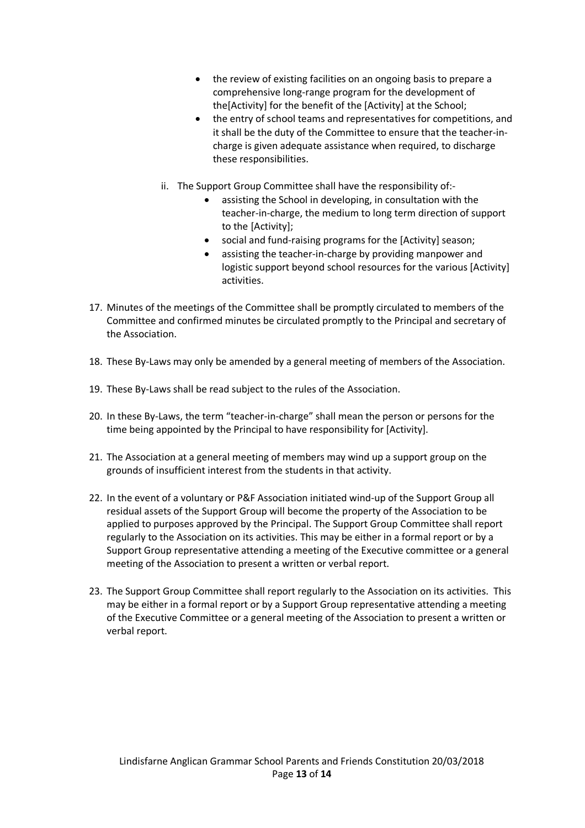- the review of existing facilities on an ongoing basis to prepare a comprehensive long-range program for the development of the[Activity] for the benefit of the [Activity] at the School;
- the entry of school teams and representatives for competitions, and it shall be the duty of the Committee to ensure that the teacher-incharge is given adequate assistance when required, to discharge these responsibilities.
- ii. The Support Group Committee shall have the responsibility of:
	- assisting the School in developing, in consultation with the teacher-in-charge, the medium to long term direction of support to the [Activity];
	- social and fund-raising programs for the [Activity] season;
	- assisting the teacher-in-charge by providing manpower and logistic support beyond school resources for the various [Activity] activities.
- 17. Minutes of the meetings of the Committee shall be promptly circulated to members of the Committee and confirmed minutes be circulated promptly to the Principal and secretary of the Association.
- 18. These By-Laws may only be amended by a general meeting of members of the Association.
- 19. These By-Laws shall be read subject to the rules of the Association.
- 20. In these By-Laws, the term "teacher-in-charge" shall mean the person or persons for the time being appointed by the Principal to have responsibility for [Activity].
- 21. The Association at a general meeting of members may wind up a support group on the grounds of insufficient interest from the students in that activity.
- 22. In the event of a voluntary or P&F Association initiated wind-up of the Support Group all residual assets of the Support Group will become the property of the Association to be applied to purposes approved by the Principal. The Support Group Committee shall report regularly to the Association on its activities. This may be either in a formal report or by a Support Group representative attending a meeting of the Executive committee or a general meeting of the Association to present a written or verbal report.
- 23. The Support Group Committee shall report regularly to the Association on its activities. This may be either in a formal report or by a Support Group representative attending a meeting of the Executive Committee or a general meeting of the Association to present a written or verbal report.